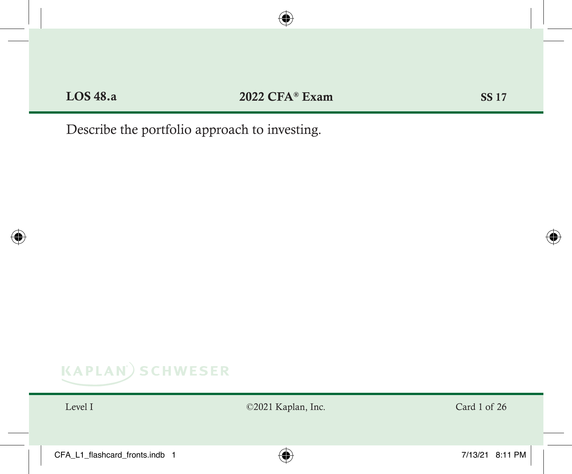Describe the portfolio approach to investing.

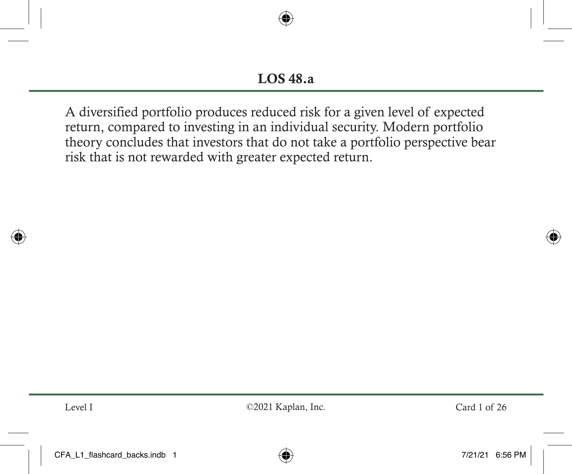A diversified portfolio produces reduced risk for a given level of expected return, compared to investing in an individual security. Modern portfolio theory concludes that investors that do not take a portfolio perspective bear risk that is not rewarded with greater expected return.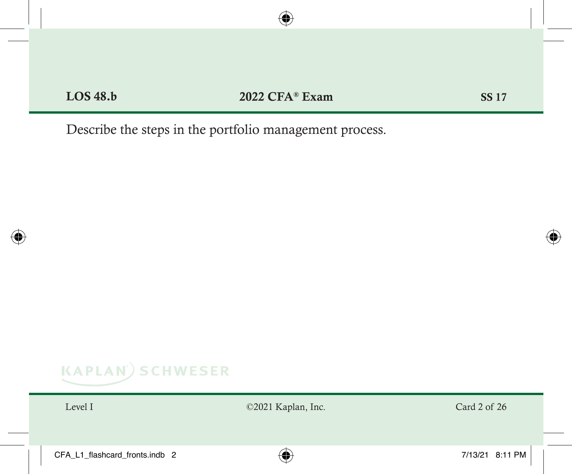Describe the steps in the portfolio management process.

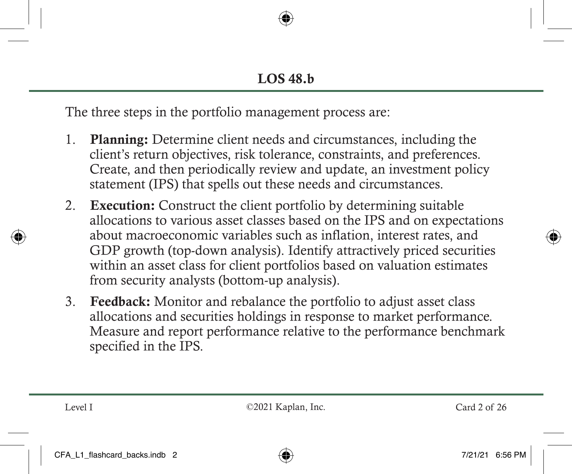The three steps in the portfolio management process are:

- 1. Planning: Determine client needs and circumstances, including the client's return objectives, risk tolerance, constraints, and preferences. Create, and then periodically review and update, an investment policy statement (IPS) that spells out these needs and circumstances.
- 2. Execution: Construct the client portfolio by determining suitable allocations to various asset classes based on the IPS and on expectations about macroeconomic variables such as inflation, interest rates, and GDP growth (top-down analysis). Identify attractively priced securities within an asset class for client portfolios based on valuation estimates from security analysts (bottom-up analysis).
- 3. Feedback: Monitor and rebalance the portfolio to adjust asset class allocations and securities holdings in response to market performance. Measure and report performance relative to the performance benchmark specified in the IPS.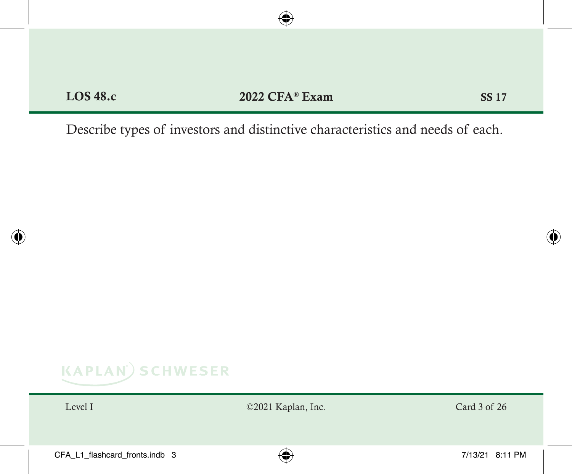Describe types of investors and distinctive characteristics and needs of each.

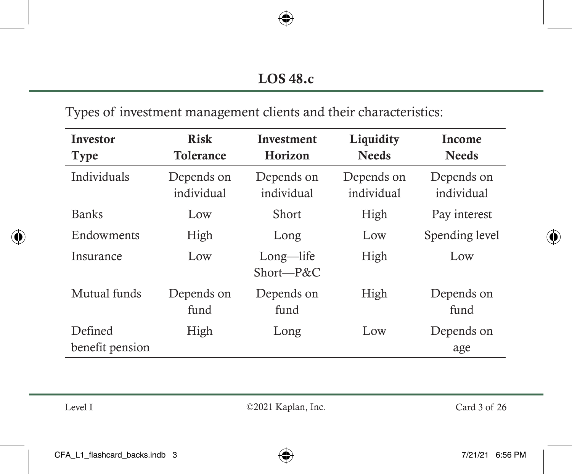Types of investment management clients and their characteristics:

| <b>Investor</b><br>Type    | <b>Risk</b><br><b>Tolerance</b> | <b>Investment</b><br>Horizon | Liquidity<br><b>Needs</b> | Income<br><b>Needs</b>   |
|----------------------------|---------------------------------|------------------------------|---------------------------|--------------------------|
| Individuals                | Depends on<br>individual        | Depends on<br>individual     | Depends on<br>individual  | Depends on<br>individual |
| <b>Banks</b>               | Low                             | Short                        | High                      | Pay interest             |
| Endowments                 | High                            | Long                         | Low                       | Spending level           |
| Insurance                  | Low                             | Long—life<br>Short—P&C       | High                      | Low                      |
| Mutual funds               | Depends on<br>fund              | Depends on<br>fund           | High                      | Depends on<br>fund       |
| Defined<br>benefit pension | High                            | Long                         | Low                       | Depends on<br>age        |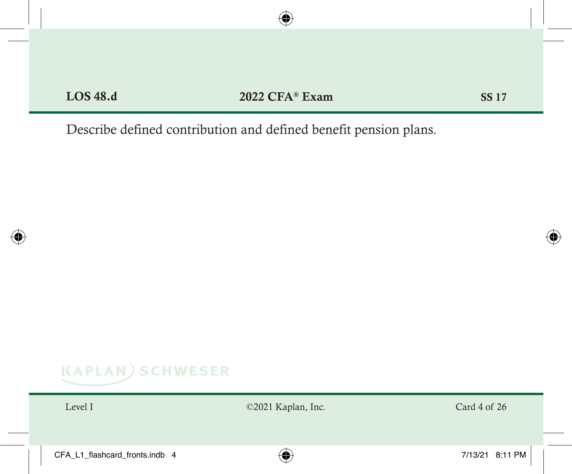Describe defined contribution and defined benefit pension plans.

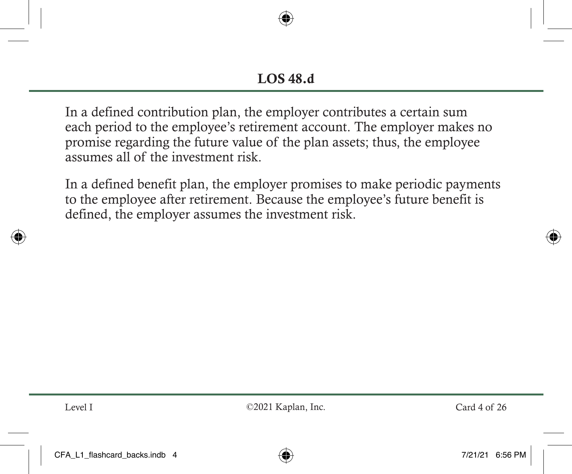In a defined contribution plan, the employer contributes a certain sum each period to the employee's retirement account. The employer makes no promise regarding the future value of the plan assets; thus, the employee assumes all of the investment risk.

In a defined benefit plan, the employer promises to make periodic payments to the employee after retirement. Because the employee's future benefit is defined, the employer assumes the investment risk.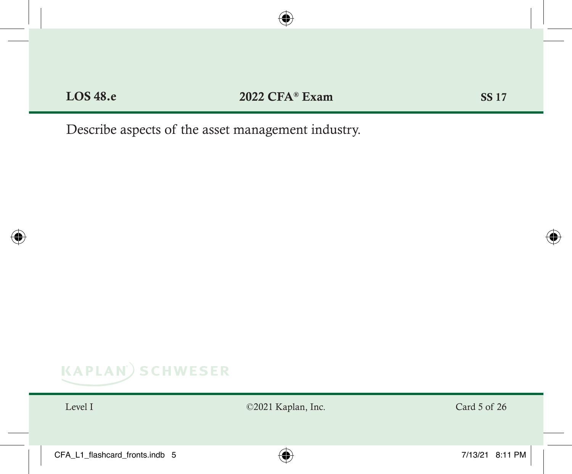Describe aspects of the asset management industry.

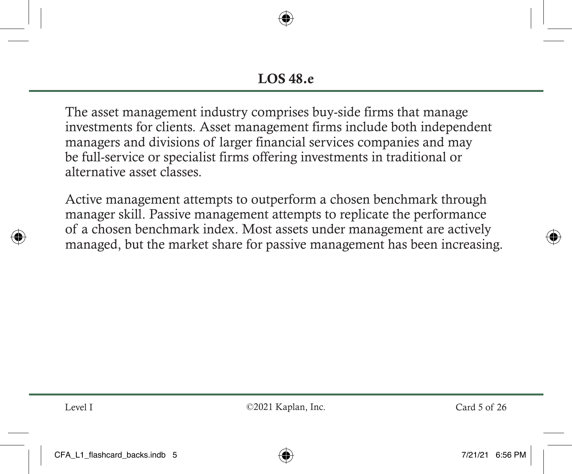The asset management industry comprises buy-side firms that manage investments for clients. Asset management firms include both independent managers and divisions of larger financial services companies and may be full-service or specialist firms offering investments in traditional or alternative asset classes.

Active management attempts to outperform a chosen benchmark through manager skill. Passive management attempts to replicate the performance of a chosen benchmark index. Most assets under management are actively managed, but the market share for passive management has been increasing.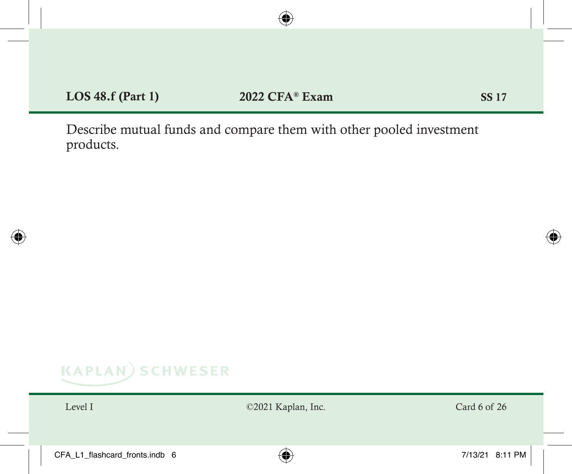Describe mutual funds and compare them with other pooled investment products.

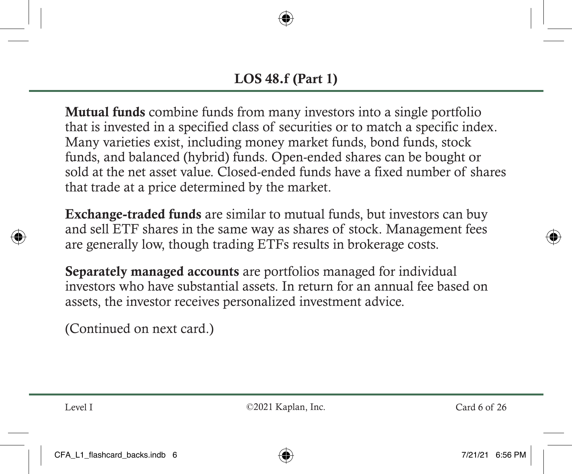Mutual funds combine funds from many investors into a single portfolio that is invested in a specified class of securities or to match a specific index. Many varieties exist, including money market funds, bond funds, stock funds, and balanced (hybrid) funds. Open-ended shares can be bought or sold at the net asset value. Closed-ended funds have a fixed number of shares that trade at a price determined by the market.

Exchange-traded funds are similar to mutual funds, but investors can buy and sell ETF shares in the same way as shares of stock. Management fees are generally low, though trading ETFs results in brokerage costs.

Separately managed accounts are portfolios managed for individual investors who have substantial assets. In return for an annual fee based on assets, the investor receives personalized investment advice.

(Continued on next card.)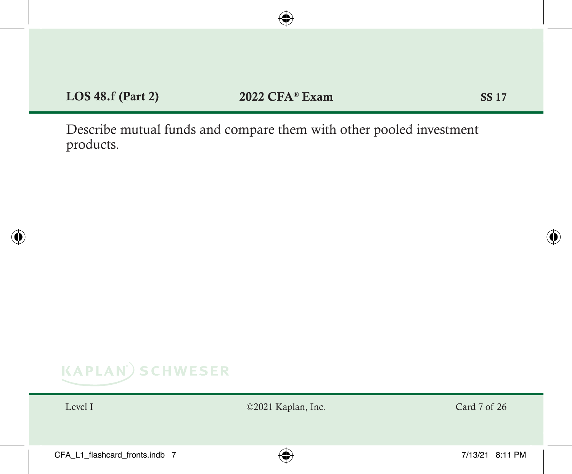Describe mutual funds and compare them with other pooled investment products.